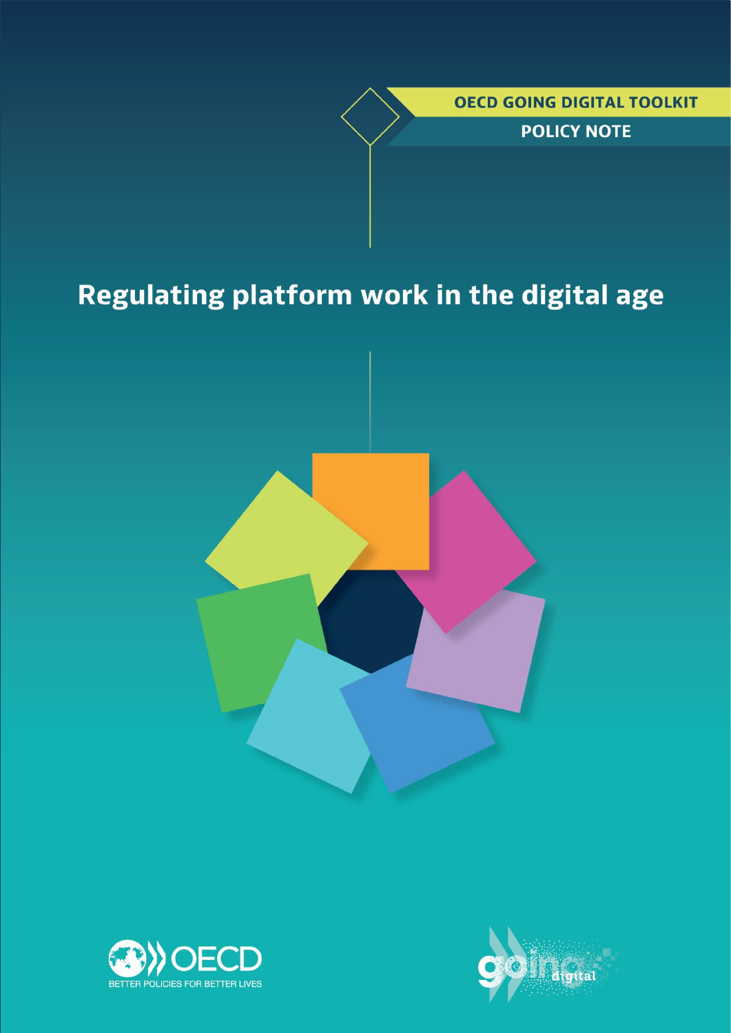*OECD GOING DIGITAL TOOLKIT* 

**POLICY NOTE** 

# Regulating platform work in the digital age





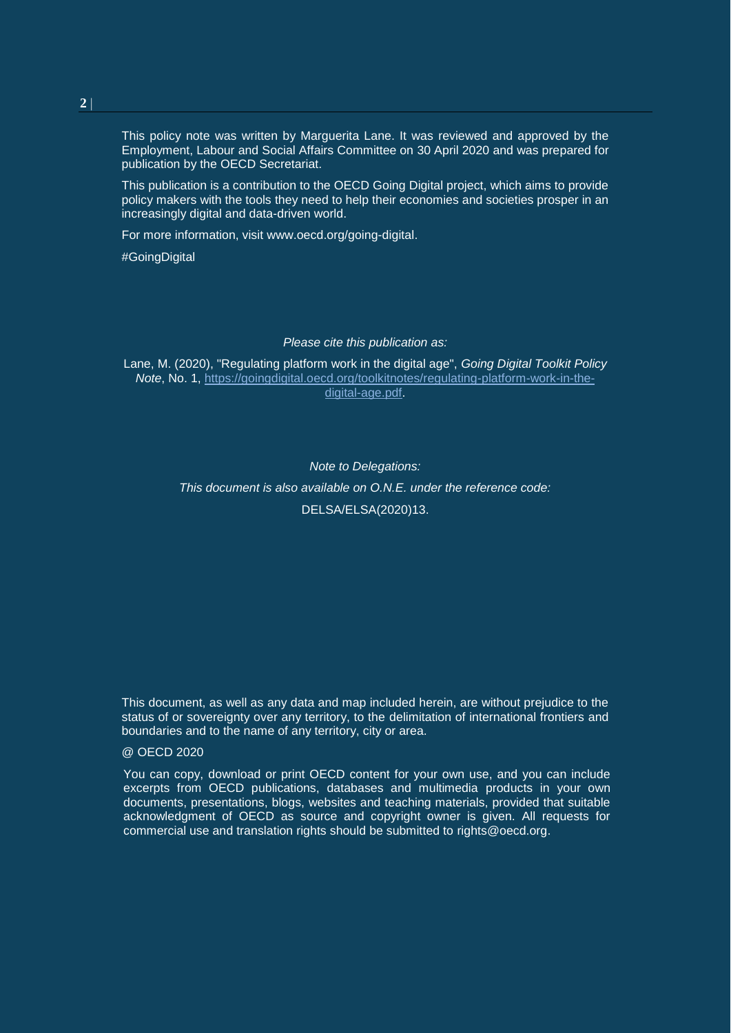This policy note was written by Marguerita Lane. It was reviewed and approved by the Employment, Labour and Social Affairs Committee on 30 April 2020 and was prepared for publication by the OECD Secretariat.

This publication is a contribution to the OECD Going Digital project, which aims to provide policy makers with the tools they need to help their economies and societies prosper in an increasingly digital and data-driven world.

For more information, visit [www.oecd.org/going-digital.](http://www.oecd.org/going-digital)

#GoingDigital

*Please cite this publication as:*

Lane, M. (2020), "Regulating platform work in the digital age", *Going Digital Toolkit Policy Note*, No. 1, [https://goingdigital.oecd.org/toolkitnotes/regulating-platform-work-in-the](https://goingdigital.oecd.org/toolkitnotes/regulating-platform-work-in-the-digital-age.pdf)[digital-age.pdf.](https://goingdigital.oecd.org/toolkitnotes/regulating-platform-work-in-the-digital-age.pdf)

> *Note to Delegations: This document is also available on O.N.E. under the reference code:* DELSA/ELSA(2020)13.

This document, as well as any data and map included herein, are without prejudice to the status of or sovereignty over any territory, to the delimitation of international frontiers and boundaries and to the name of any territory, city or area.

#### @ OECD 2020

You can copy, download or print OECD content for your own use, and you can include excerpts from OECD publications, databases and multimedia products in your own documents, presentations, blogs, websites and teaching materials, provided that suitable acknowledgment of OECD as source and copyright owner is given. All requests for commercial use and translation rights should be submitted to [rights@oecd.org.](mailto:rights@oecd.org)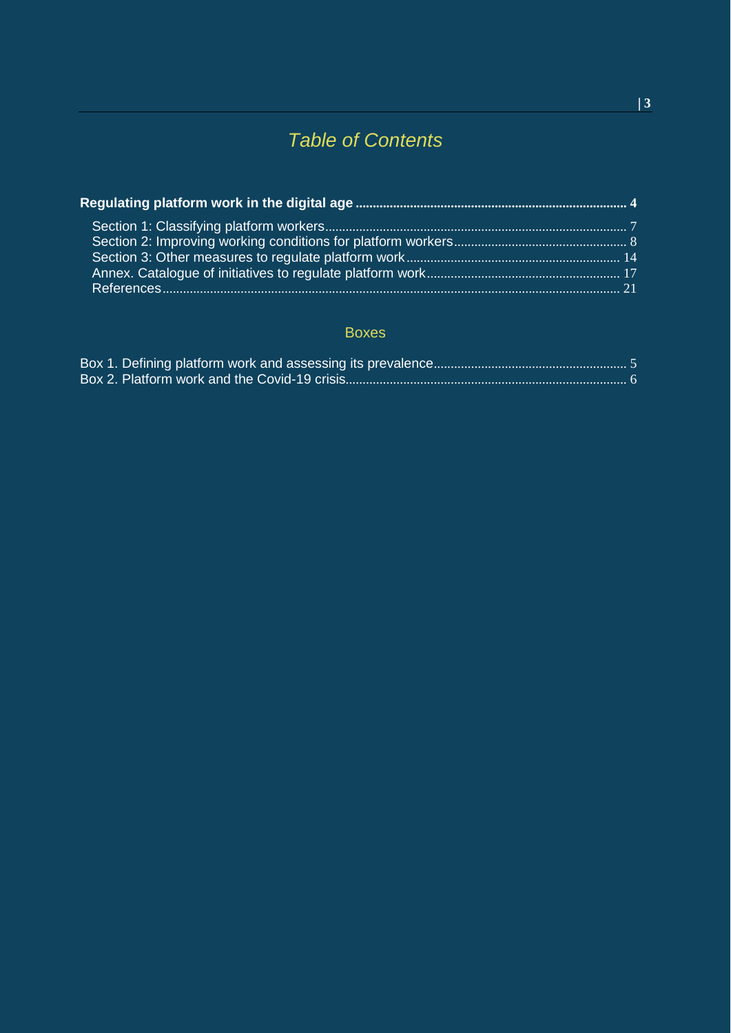## *Table of Contents*

## Boxes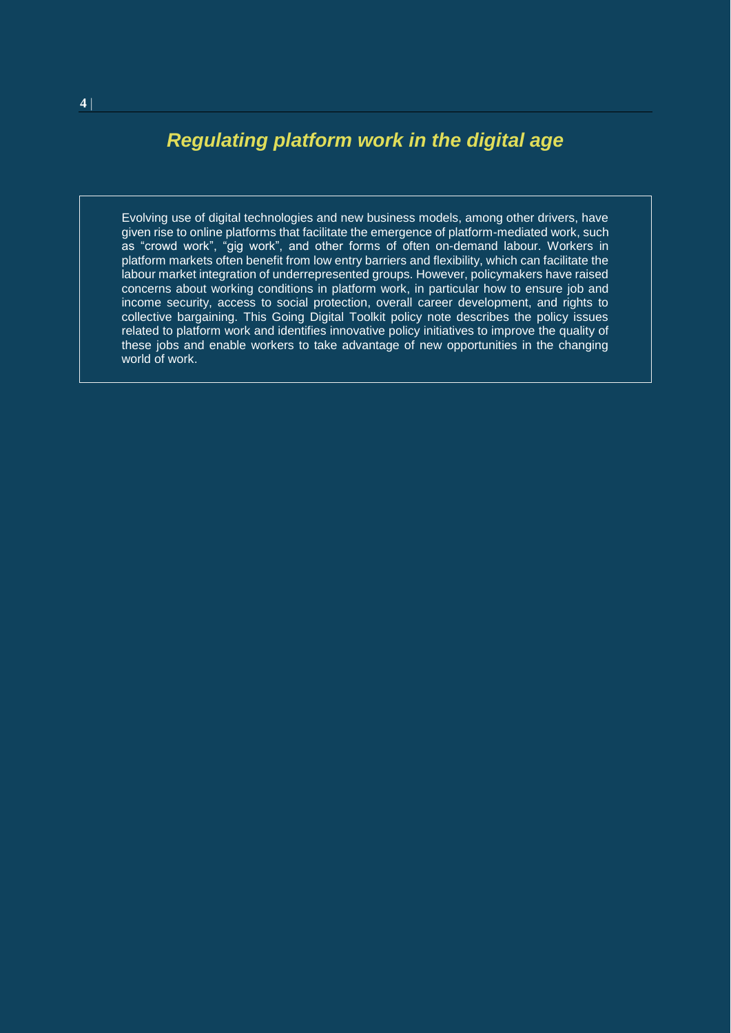## <span id="page-3-0"></span>*Regulating platform work in the digital age*

Evolving use of digital technologies and new business models, among other drivers, have given rise to online platforms that facilitate the emergence of platform-mediated work, such as "crowd work", "gig work", and other forms of often on-demand labour. Workers in platform markets often benefit from low entry barriers and flexibility, which can facilitate the labour market integration of underrepresented groups. However, policymakers have raised concerns about working conditions in platform work, in particular how to ensure job and income security, access to social protection, overall career development, and rights to collective bargaining. This Going Digital Toolkit policy note describes the policy issues related to platform work and identifies innovative policy initiatives to improve the quality of these jobs and enable workers to take advantage of new opportunities in the changing world of work.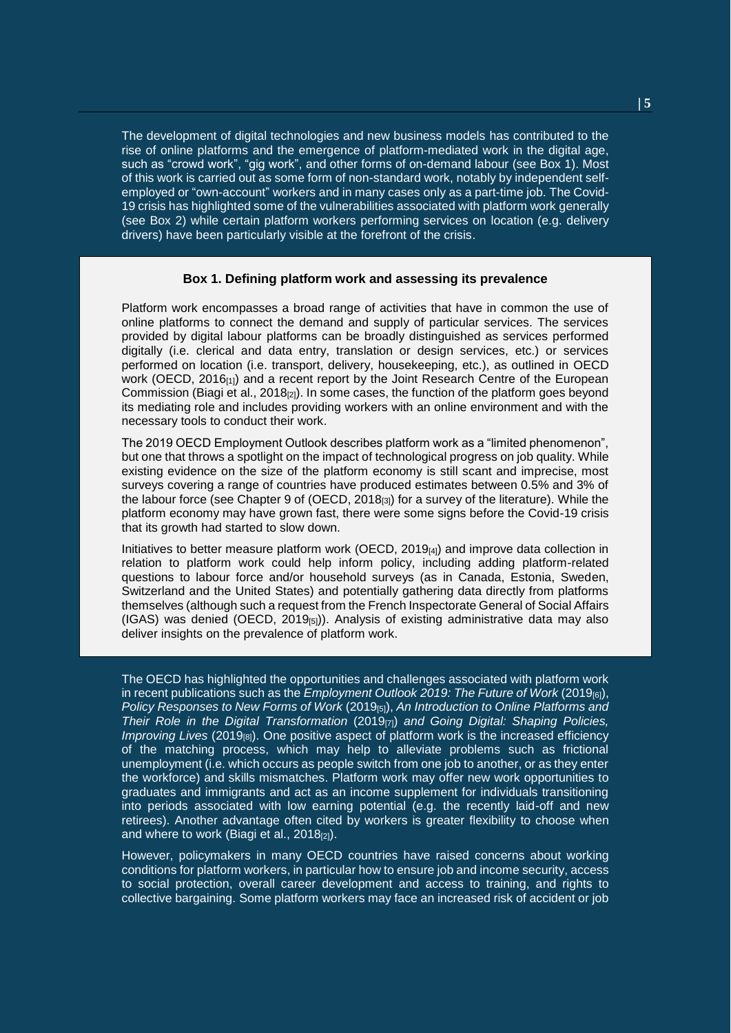The development of digital technologies and new business models has contributed to the rise of online platforms and the emergence of platform-mediated work in the digital age, such as "crowd work", "gig work", and other forms of on-demand labour (see Box 1). Most of this work is carried out as some form of non-standard work, notably by independent selfemployed or "own-account" workers and in many cases only as a part-time job. The Covid-19 crisis has highlighted some of the vulnerabilities associated with platform work generally (see Box 2) while certain platform workers performing services on location (e.g. delivery drivers) have been particularly visible at the forefront of the crisis.

#### **Box 1. Defining platform work and assessing its prevalence**

<span id="page-4-0"></span>Platform work encompasses a broad range of activities that have in common the use of online platforms to connect the demand and supply of particular services. The services provided by digital labour platforms can be broadly distinguished as services performed digitally (i.e. clerical and data entry, translation or design services, etc.) or services performed on location (i.e. transport, delivery, housekeeping, etc.), as outlined in OECD work (OECD,  $2016_{[1]}$ ) and a recent report by the Joint Research Centre of the European Commission (Biagi et al., 2018 $_{[2]}$ ). In some cases, the function of the platform goes beyond its mediating role and includes providing workers with an online environment and with the necessary tools to conduct their work.

The 2019 OECD Employment Outlook describes platform work as a "limited phenomenon", but one that throws a spotlight on the impact of technological progress on job quality. While existing evidence on the size of the platform economy is still scant and imprecise, most surveys covering a range of countries have produced estimates between 0.5% and 3% of the labour force (see Chapter 9 of (OECD, 2018 $_{[3]}$ ) for a survey of the literature). While the platform economy may have grown fast, there were some signs before the Covid-19 crisis that its growth had started to slow down.

Initiatives to better measure platform work (OECD, 2019[4]) and improve data collection in relation to platform work could help inform policy, including adding platform-related questions to labour force and/or household surveys (as in Canada, Estonia, Sweden, Switzerland and the United States) and potentially gathering data directly from platforms themselves (although such a request from the French Inspectorate General of Social Affairs  $(IGAS)$  was denied  $(OECD, 2019_{[5]})$ . Analysis of existing administrative data may also deliver insights on the prevalence of platform work.

The OECD has highlighted the opportunities and challenges associated with platform work in recent publications such as the *Employment Outlook 2019: The Future of Work* (2019<sub>[6]</sub>), *Policy Responses to New Forms of Work* (2019[5]), *An Introduction to Online Platforms and Their Role in the Digital Transformation* (2019[7]) *and Going Digital: Shaping Policies, Improving Lives* (2019<sub>[8]</sub>). One positive aspect of platform work is the increased efficiency of the matching process, which may help to alleviate problems such as frictional unemployment (i.e. which occurs as people switch from one job to another, or as they enter the workforce) and skills mismatches. Platform work may offer new work opportunities to graduates and immigrants and act as an income supplement for individuals transitioning into periods associated with low earning potential (e.g. the recently laid-off and new retirees). Another advantage often cited by workers is greater flexibility to choose when and where to work (Biagi et al.,  $2018_{[2]}$ ).

However, policymakers in many OECD countries have raised concerns about working conditions for platform workers, in particular how to ensure job and income security, access to social protection, overall career development and access to training, and rights to collective bargaining. Some platform workers may face an increased risk of accident or job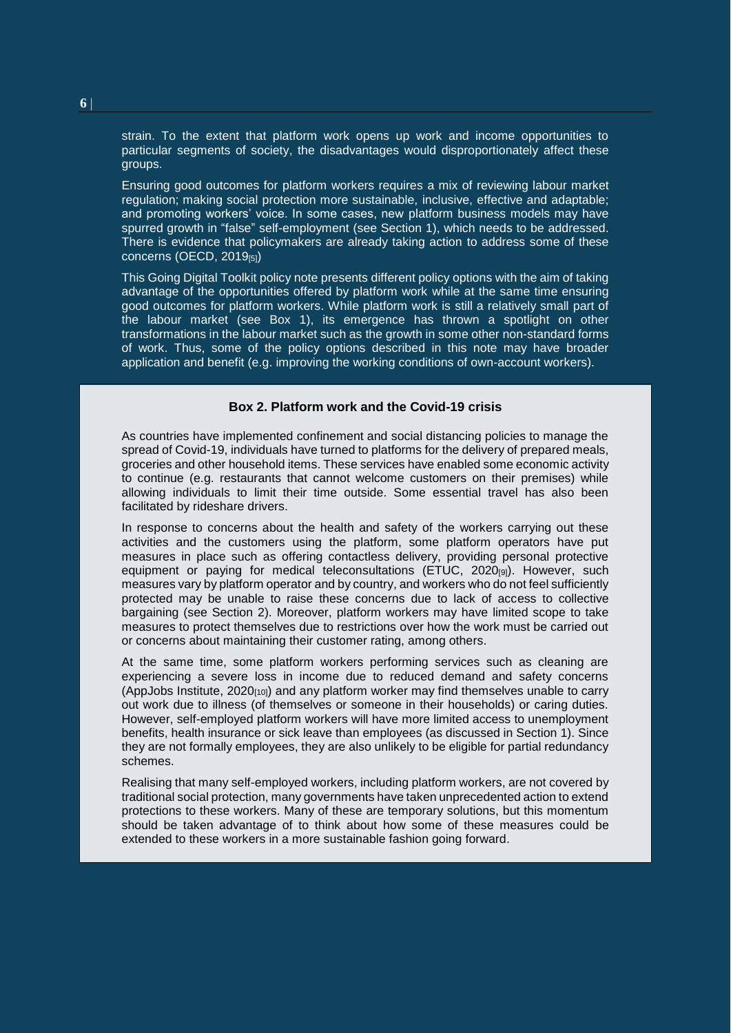strain. To the extent that platform work opens up work and income opportunities to particular segments of society, the disadvantages would disproportionately affect these groups.

Ensuring good outcomes for platform workers requires a mix of reviewing labour market regulation; making social protection more sustainable, inclusive, effective and adaptable; and promoting workers' voice. In some cases, new platform business models may have spurred growth in "false" self-employment (see Section 1), which needs to be addressed. There is evidence that policymakers are already taking action to address some of these concerns (OECD,  $2019_{[5]}$ )

This Going Digital Toolkit policy note presents different policy options with the aim of taking advantage of the opportunities offered by platform work while at the same time ensuring good outcomes for platform workers. While platform work is still a relatively small part of the labour market (see Box 1), its emergence has thrown a spotlight on other transformations in the labour market such as the growth in some other non-standard forms of work. Thus, some of the policy options described in this note may have broader application and benefit (e.g. improving the working conditions of own-account workers).

#### **Box 2. Platform work and the Covid-19 crisis**

<span id="page-5-0"></span>As countries have implemented confinement and social distancing policies to manage the spread of Covid-19, individuals have turned to platforms for the delivery of prepared meals, groceries and other household items. These services have enabled some economic activity to continue (e.g. restaurants that cannot welcome customers on their premises) while allowing individuals to limit their time outside. Some essential travel has also been facilitated by rideshare drivers.

In response to concerns about the health and safety of the workers carrying out these activities and the customers using the platform, some platform operators have put measures in place such as offering contactless delivery, providing personal protective equipment or paying for medical teleconsultations (ETUC,  $2020_{[9]}$ ). However, such measures vary by platform operator and by country, and workers who do not feel sufficiently protected may be unable to raise these concerns due to lack of access to collective bargaining (see Section 2). Moreover, platform workers may have limited scope to take measures to protect themselves due to restrictions over how the work must be carried out or concerns about maintaining their customer rating, among others.

At the same time, some platform workers performing services such as cleaning are experiencing a severe loss in income due to reduced demand and safety concerns (AppJobs Institute,  $2020_{[10]}$ ) and any platform worker may find themselves unable to carry out work due to illness (of themselves or someone in their households) or caring duties. However, self-employed platform workers will have more limited access to unemployment benefits, health insurance or sick leave than employees (as discussed in Section 1). Since they are not formally employees, they are also unlikely to be eligible for partial redundancy schemes.

Realising that many self-employed workers, including platform workers, are not covered by traditional social protection, many governments have taken unprecedented action to extend protections to these workers. Many of these are temporary solutions, but this momentum should be taken advantage of to think about how some of these measures could be extended to these workers in a more sustainable fashion going forward.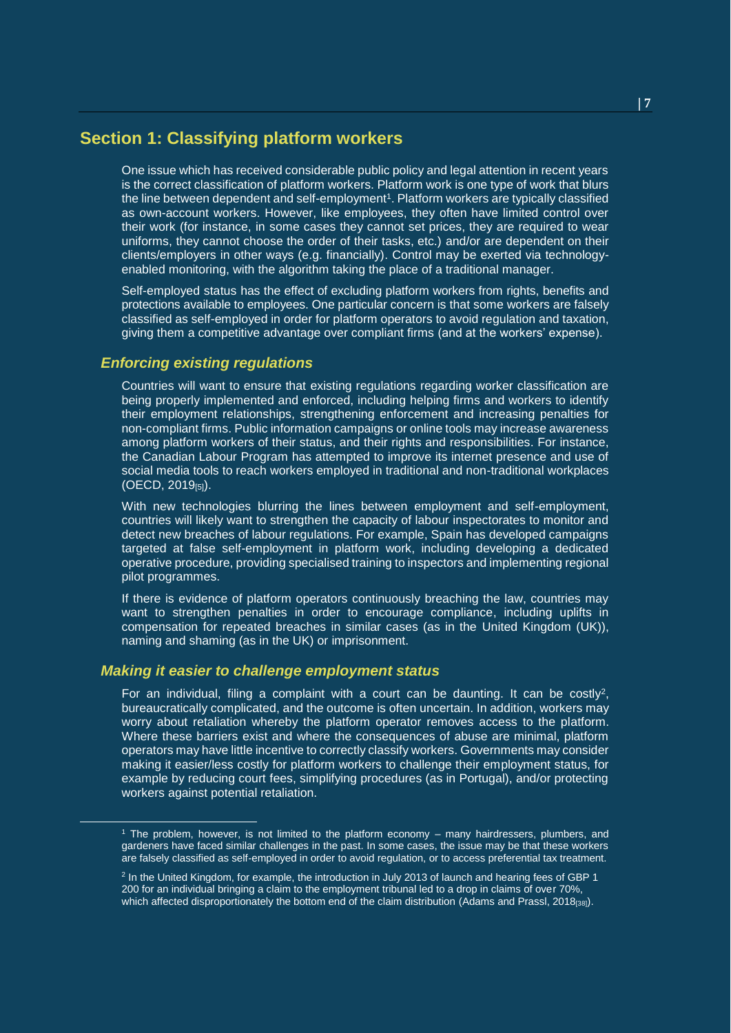## <span id="page-6-0"></span>**Section 1: Classifying platform workers**

One issue which has received considerable public policy and legal attention in recent years is the correct classification of platform workers. Platform work is one type of work that blurs the line between dependent and self-employment<sup>1</sup>. Platform workers are typically classified as own-account workers. However, like employees, they often have limited control over their work (for instance, in some cases they cannot set prices, they are required to wear uniforms, they cannot choose the order of their tasks, etc.) and/or are dependent on their clients/employers in other ways (e.g. financially). Control may be exerted via technologyenabled monitoring, with the algorithm taking the place of a traditional manager.

Self-employed status has the effect of excluding platform workers from rights, benefits and protections available to employees. One particular concern is that some workers are falsely classified as self-employed in order for platform operators to avoid regulation and taxation, giving them a competitive advantage over compliant firms (and at the workers' expense).

#### *Enforcing existing regulations*

l

Countries will want to ensure that existing regulations regarding worker classification are being properly implemented and enforced, including helping firms and workers to identify their employment relationships, strengthening enforcement and increasing penalties for non-compliant firms. Public information campaigns or online tools may increase awareness among platform workers of their status, and their rights and responsibilities. For instance, the Canadian Labour Program has attempted to improve its internet presence and use of social media tools to reach workers employed in traditional and non-traditional workplaces (OECD, 2019[5]).

With new technologies blurring the lines between employment and self-employment, countries will likely want to strengthen the capacity of labour inspectorates to monitor and detect new breaches of labour regulations. For example, Spain has developed campaigns targeted at false self-employment in platform work, including developing a dedicated operative procedure, providing specialised training to inspectors and implementing regional pilot programmes.

If there is evidence of platform operators continuously breaching the law, countries may want to strengthen penalties in order to encourage compliance, including uplifts in compensation for repeated breaches in similar cases (as in the United Kingdom (UK)), naming and shaming (as in the UK) or imprisonment.

#### *Making it easier to challenge employment status*

For an individual, filing a complaint with a court can be daunting. It can be costly<sup>2</sup>, bureaucratically complicated, and the outcome is often uncertain. In addition, workers may worry about retaliation whereby the platform operator removes access to the platform. Where these barriers exist and where the consequences of abuse are minimal, platform operators may have little incentive to correctly classify workers. Governments may consider making it easier/less costly for platform workers to challenge their employment status, for example by reducing court fees, simplifying procedures (as in Portugal), and/or protecting workers against potential retaliation.

<sup>1</sup> The problem, however, is not limited to the platform economy – many hairdressers, plumbers, and gardeners have faced similar challenges in the past. In some cases, the issue may be that these workers are falsely classified as self-employed in order to avoid regulation, or to access preferential tax treatment.

<sup>&</sup>lt;sup>2</sup> In the United Kingdom, for example, the introduction in July 2013 of launch and hearing fees of GBP 1 200 for an individual bringing a claim to the employment tribunal led to a drop in claims of over 70%, which affected disproportionately the bottom end of the claim distribution (Adams and Prassl, 2018<sub>[38]</sub>).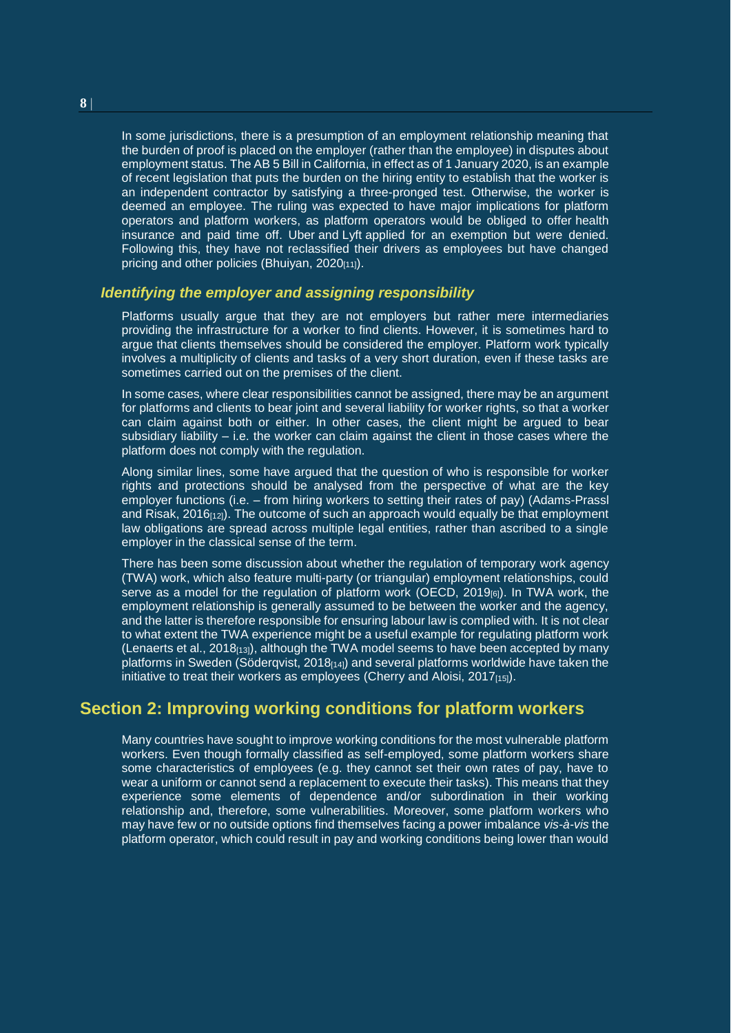In some jurisdictions, there is a presumption of an employment relationship meaning that the burden of proof is placed on the employer (rather than the employee) in disputes about employment status. The AB 5 Bill in California, in effect as of 1 January 2020, is an example of recent legislation that puts the burden on the hiring entity to establish that the worker is an independent contractor by satisfying a three-pronged test. Otherwise, the worker is deemed an employee. The ruling was expected to have major implications for platform operators and platform workers, as platform operators would be obliged to offer health insurance and paid time off. Uber and Lyft applied for an exemption but were denied. Following this, they have not reclassified their drivers as employees but have changed pricing and other policies (Bhuiyan, 2020[11]).

#### *Identifying the employer and assigning responsibility*

Platforms usually argue that they are not employers but rather mere intermediaries providing the infrastructure for a worker to find clients. However, it is sometimes hard to argue that clients themselves should be considered the employer. Platform work typically involves a multiplicity of clients and tasks of a very short duration, even if these tasks are sometimes carried out on the premises of the client.

In some cases, where clear responsibilities cannot be assigned, there may be an argument for platforms and clients to bear joint and several liability for worker rights, so that a worker can claim against both or either. In other cases, the client might be argued to bear subsidiary liability  $-$  i.e. the worker can claim against the client in those cases where the platform does not comply with the regulation.

Along similar lines, some have argued that the question of who is responsible for worker rights and protections should be analysed from the perspective of what are the key employer functions (i.e. – from hiring workers to setting their rates of pay) (Adams-Prassl and Risak,  $2016_{[12]}$ ). The outcome of such an approach would equally be that employment law obligations are spread across multiple legal entities, rather than ascribed to a single employer in the classical sense of the term.

There has been some discussion about whether the regulation of temporary work agency (TWA) work, which also feature multi-party (or triangular) employment relationships, could serve as a model for the regulation of platform work (OECD,  $2019<sub>16</sub>$ ). In TWA work, the employment relationship is generally assumed to be between the worker and the agency, and the latter is therefore responsible for ensuring labour law is complied with. It is not clear to what extent the TWA experience might be a useful example for regulating platform work (Lenaerts et al., 2018 $_{[13]}$ ), although the TWA model seems to have been accepted by many platforms in Sweden (Söderqvist, 2018 $_{[14]}$ ) and several platforms worldwide have taken the initiative to treat their workers as employees (Cherry and Aloisi,  $2017_{[15]}$ ).

## <span id="page-7-0"></span>**Section 2: Improving working conditions for platform workers**

Many countries have sought to improve working conditions for the most vulnerable platform workers. Even though formally classified as self-employed, some platform workers share some characteristics of employees (e.g. they cannot set their own rates of pay, have to wear a uniform or cannot send a replacement to execute their tasks). This means that they experience some elements of dependence and/or subordination in their working relationship and, therefore, some vulnerabilities. Moreover, some platform workers who may have few or no outside options find themselves facing a power imbalance *vis-à-vis* the platform operator, which could result in pay and working conditions being lower than would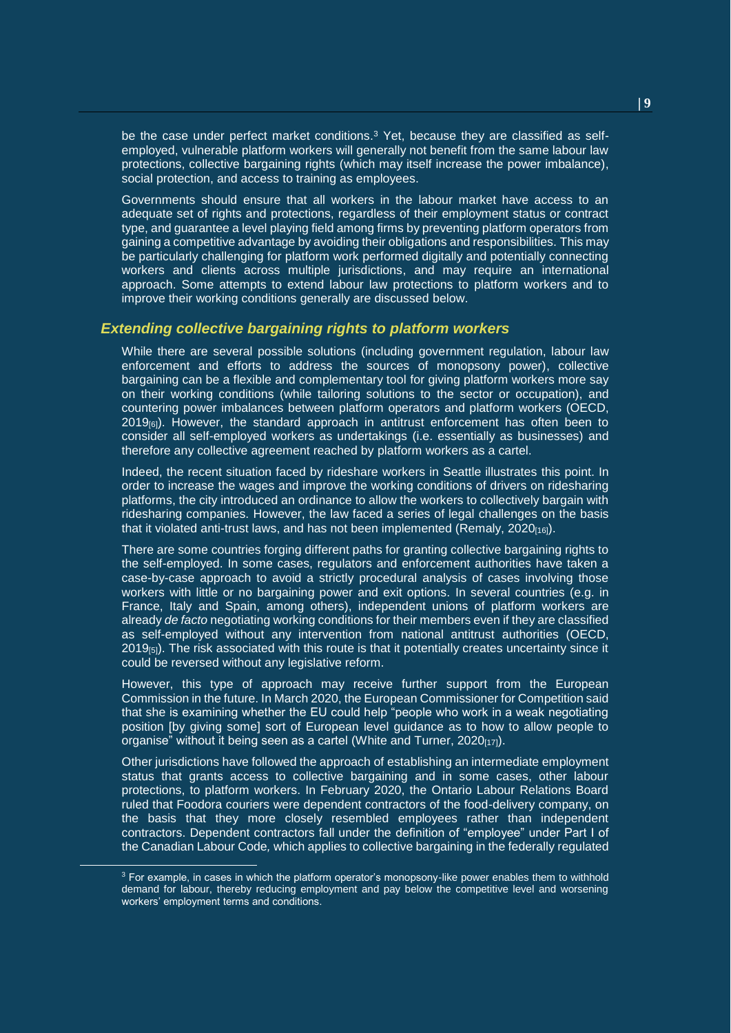be the case under perfect market conditions.<sup>3</sup> Yet, because they are classified as selfemployed, vulnerable platform workers will generally not benefit from the same labour law protections, collective bargaining rights (which may itself increase the power imbalance), social protection, and access to training as employees.

Governments should ensure that all workers in the labour market have access to an adequate set of rights and protections, regardless of their employment status or contract type, and guarantee a level playing field among firms by preventing platform operators from gaining a competitive advantage by avoiding their obligations and responsibilities. This may be particularly challenging for platform work performed digitally and potentially connecting workers and clients across multiple jurisdictions, and may require an international approach. Some attempts to extend labour law protections to platform workers and to improve their working conditions generally are discussed below.

#### *Extending collective bargaining rights to platform workers*

While there are several possible solutions (including government regulation, labour law enforcement and efforts to address the sources of monopsony power), collective bargaining can be a flexible and complementary tool for giving platform workers more say on their working conditions (while tailoring solutions to the sector or occupation), and countering power imbalances between platform operators and platform workers (OECD,  $2019_{[6]}$ ). However, the standard approach in antitrust enforcement has often been to consider all self-employed workers as undertakings (i.e. essentially as businesses) and therefore any collective agreement reached by platform workers as a cartel.

Indeed, the recent situation faced by rideshare workers in Seattle illustrates this point. In order to increase the wages and improve the working conditions of drivers on ridesharing platforms, the city introduced an ordinance to allow the workers to collectively bargain with ridesharing companies. However, the law faced a series of legal challenges on the basis that it violated anti-trust laws, and has not been implemented (Remaly,  $2020_{[16]}$ ).

There are some countries forging different paths for granting collective bargaining rights to the self-employed. In some cases, regulators and enforcement authorities have taken a case-by-case approach to avoid a strictly procedural analysis of cases involving those workers with little or no bargaining power and exit options. In several countries (e.g. in France, Italy and Spain, among others), independent unions of platform workers are already *de facto* negotiating working conditions for their members even if they are classified as self-employed without any intervention from national antitrust authorities (OECD, 2019<sub>[5]</sub>). The risk associated with this route is that it potentially creates uncertainty since it could be reversed without any legislative reform.

However, this type of approach may receive further support from the European Commission in the future. In March 2020, the European Commissioner for Competition said that she is examining whether the EU could help "people who work in a weak negotiating position [by giving some] sort of European level guidance as to how to allow people to organise" without it being seen as a cartel (White and Turner,  $2020_{[17]}$ ).

Other jurisdictions have followed the approach of establishing an intermediate employment status that grants access to collective bargaining and in some cases, other labour protections, to platform workers. In February 2020, the Ontario Labour Relations Board ruled that Foodora couriers were dependent contractors of the food-delivery company, on the basis that they more closely resembled employees rather than independent contractors. Dependent contractors fall under the definition of "employee" under Part I of the Canadian Labour Code*,* which applies to collective bargaining in the federally regulated

l

 $3$  For example, in cases in which the platform operator's monopsony-like power enables them to withhold demand for labour, thereby reducing employment and pay below the competitive level and worsening workers' employment terms and conditions.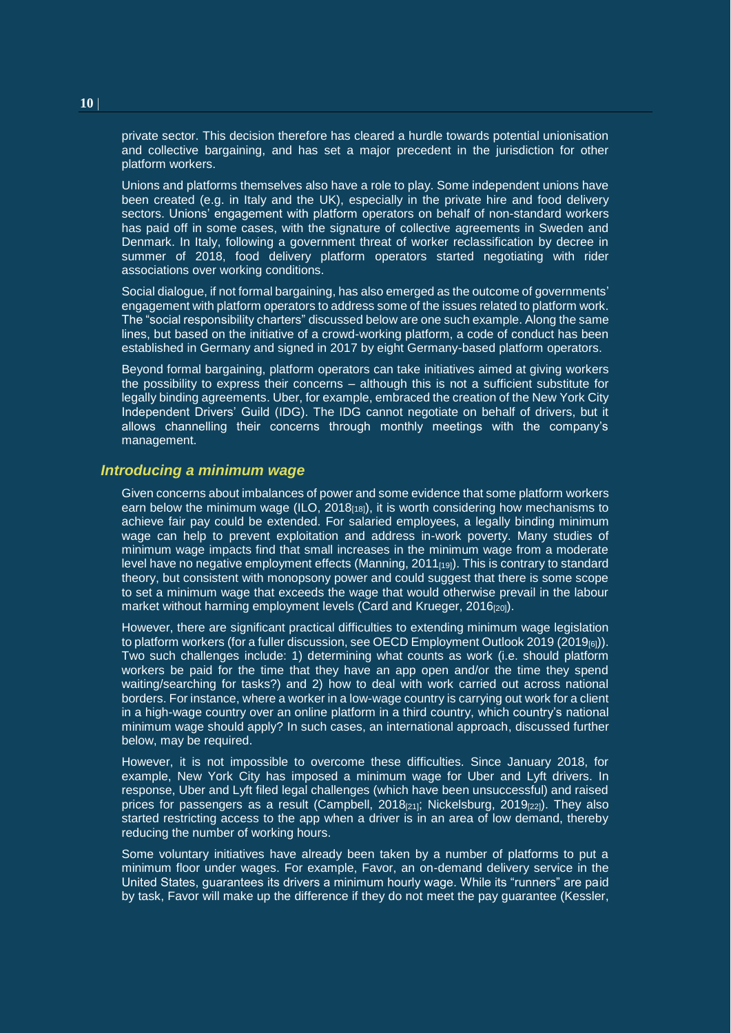private sector. This decision therefore has cleared a hurdle towards potential unionisation and collective bargaining, and has set a major precedent in the jurisdiction for other platform workers.

Unions and platforms themselves also have a role to play. Some independent unions have been created (e.g. in Italy and the UK), especially in the private hire and food delivery sectors. Unions' engagement with platform operators on behalf of non-standard workers has paid off in some cases, with the signature of collective agreements in Sweden and Denmark. In Italy, following a government threat of worker reclassification by decree in summer of 2018, food delivery platform operators started negotiating with rider associations over working conditions.

Social dialogue, if not formal bargaining, has also emerged as the outcome of governments' engagement with platform operators to address some of the issues related to platform work. The "social responsibility charters" discussed below are one such example. Along the same lines, but based on the initiative of a crowd-working platform, a code of conduct has been established in Germany and signed in 2017 by eight Germany-based platform operators.

Beyond formal bargaining, platform operators can take initiatives aimed at giving workers the possibility to express their concerns – although this is not a sufficient substitute for legally binding agreements. Uber, for example, embraced the creation of the New York City Independent Drivers' Guild (IDG). The IDG cannot negotiate on behalf of drivers, but it allows channelling their concerns through monthly meetings with the company's management.

#### *Introducing a minimum wage*

Given concerns about imbalances of power and some evidence that some platform workers earn below the minimum wage (ILO, 2018 $_{18}$ ), it is worth considering how mechanisms to achieve fair pay could be extended. For salaried employees, a legally binding minimum wage can help to prevent exploitation and address in-work poverty. Many studies of minimum wage impacts find that small increases in the minimum wage from a moderate level have no negative employment effects (Manning,  $2011_{[19]}$ ). This is contrary to standard theory, but consistent with monopsony power and could suggest that there is some scope to set a minimum wage that exceeds the wage that would otherwise prevail in the labour market without harming employment levels (Card and Krueger, 2016<sub>[20]</sub>).

However, there are significant practical difficulties to extending minimum wage legislation to platform workers (for a fuller discussion, see OECD Employment Outlook 2019 (2019<sub>[6]</sub>)). Two such challenges include: 1) determining what counts as work (i.e. should platform workers be paid for the time that they have an app open and/or the time they spend waiting/searching for tasks?) and 2) how to deal with work carried out across national borders. For instance, where a worker in a low-wage country is carrying out work for a client in a high-wage country over an online platform in a third country, which country's national minimum wage should apply? In such cases, an international approach, discussed further below, may be required.

However, it is not impossible to overcome these difficulties. Since January 2018, for example, New York City has imposed a minimum wage for Uber and Lyft drivers. In response, Uber and Lyft filed legal challenges (which have been unsuccessful) and raised prices for passengers as a result (Campbell, 2018 $_{[21]}$ ; Nickelsburg, 2019 $_{[22]}$ ). They also started restricting access to the app when a driver is in an area of low demand, thereby reducing the number of working hours.

Some voluntary initiatives have already been taken by a number of platforms to put a minimum floor under wages. For example, Favor, an on-demand delivery service in the United States, guarantees its drivers a minimum hourly wage. While its "runners" are paid by task, Favor will make up the difference if they do not meet the pay guarantee (Kessler,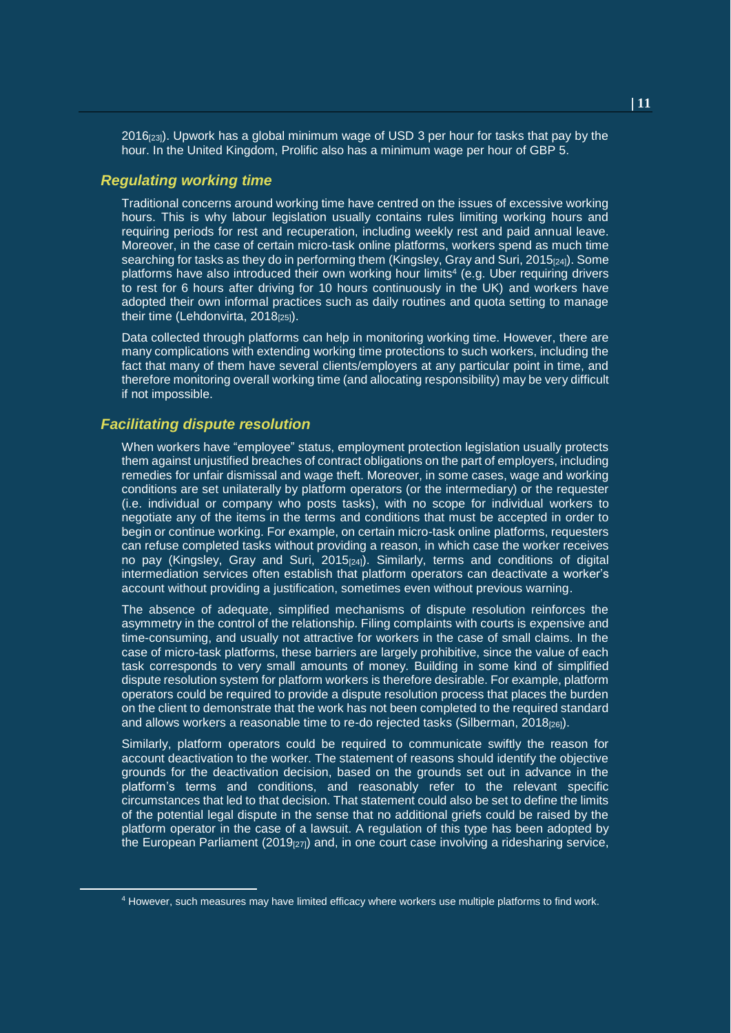2016[23]). Upwork has a global minimum wage of USD 3 per hour for tasks that pay by the hour. In the United Kingdom, Prolific also has a minimum wage per hour of GBP 5.

#### *Regulating working time*

Traditional concerns around working time have centred on the issues of excessive working hours. This is why labour legislation usually contains rules limiting working hours and requiring periods for rest and recuperation, including weekly rest and paid annual leave. Moreover, in the case of certain micro-task online platforms, workers spend as much time searching for tasks as they do in performing them (Kingsley, Gray and Suri, 2015<sup>[24]</sup>). Some platforms have also introduced their own working hour limits<sup>4</sup> (e.g. Uber requiring drivers to rest for 6 hours after driving for 10 hours continuously in the UK) and workers have adopted their own informal practices such as daily routines and quota setting to manage their time (Lehdonvirta,  $2018_{[25]}$ ).

Data collected through platforms can help in monitoring working time. However, there are many complications with extending working time protections to such workers, including the fact that many of them have several clients/employers at any particular point in time, and therefore monitoring overall working time (and allocating responsibility) may be very difficult if not impossible.

#### *Facilitating dispute resolution*

l

When workers have "employee" status, employment protection legislation usually protects them against unjustified breaches of contract obligations on the part of employers, including remedies for unfair dismissal and wage theft. Moreover, in some cases, wage and working conditions are set unilaterally by platform operators (or the intermediary) or the requester (i.e. individual or company who posts tasks), with no scope for individual workers to negotiate any of the items in the terms and conditions that must be accepted in order to begin or continue working. For example, on certain micro-task online platforms, requesters can refuse completed tasks without providing a reason, in which case the worker receives no pay (Kingsley, Gray and Suri, 2015<sub>[24]</sub>). Similarly, terms and conditions of digital intermediation services often establish that platform operators can deactivate a worker's account without providing a justification, sometimes even without previous warning.

The absence of adequate, simplified mechanisms of dispute resolution reinforces the asymmetry in the control of the relationship. Filing complaints with courts is expensive and time-consuming, and usually not attractive for workers in the case of small claims. In the case of micro-task platforms, these barriers are largely prohibitive, since the value of each task corresponds to very small amounts of money. Building in some kind of simplified dispute resolution system for platform workers is therefore desirable. For example, platform operators could be required to provide a dispute resolution process that places the burden on the client to demonstrate that the work has not been completed to the required standard and allows workers a reasonable time to re-do rejected tasks (Silberman, 2018 $_{126}$ ).

Similarly, platform operators could be required to communicate swiftly the reason for account deactivation to the worker. The statement of reasons should identify the objective grounds for the deactivation decision, based on the grounds set out in advance in the platform's terms and conditions, and reasonably refer to the relevant specific circumstances that led to that decision. That statement could also be set to define the limits of the potential legal dispute in the sense that no additional griefs could be raised by the platform operator in the case of a lawsuit. A regulation of this type has been adopted by the European Parliament (2019 $_{[27]}$ ) and, in one court case involving a ridesharing service,

<sup>4</sup> However, such measures may have limited efficacy where workers use multiple platforms to find work.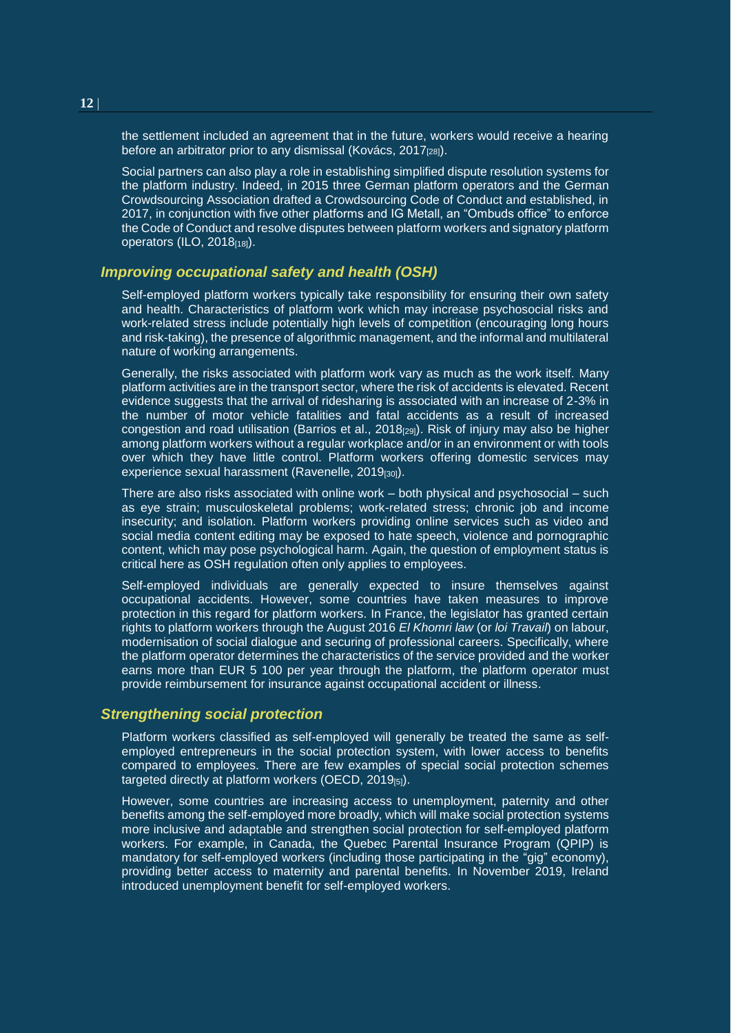the settlement included an agreement that in the future, workers would receive a hearing before an arbitrator prior to any dismissal (Kovács, 2017<sub>[28]</sub>).

Social partners can also play a role in establishing simplified dispute resolution systems for the platform industry. Indeed, in 2015 three German platform operators and the German Crowdsourcing Association drafted a Crowdsourcing Code of Conduct and established, in 2017, in conjunction with five other platforms and IG Metall, an "Ombuds office" to enforce the Code of Conduct and resolve disputes between platform workers and signatory platform operators (ILO, 2018<sub>[18]</sub>).

#### *Improving occupational safety and health (OSH)*

Self-employed platform workers typically take responsibility for ensuring their own safety and health. Characteristics of platform work which may increase psychosocial risks and work-related stress include potentially high levels of competition (encouraging long hours and risk-taking), the presence of algorithmic management, and the informal and multilateral nature of working arrangements.

Generally, the risks associated with platform work vary as much as the work itself. Many platform activities are in the transport sector, where the risk of accidents is elevated. Recent evidence suggests that the arrival of ridesharing is associated with an increase of 2-3% in the number of motor vehicle fatalities and fatal accidents as a result of increased congestion and road utilisation (Barrios et al.,  $2018<sub>[29]</sub>$ ). Risk of injury may also be higher among platform workers without a regular workplace and/or in an environment or with tools over which they have little control. Platform workers offering domestic services may experience sexual harassment (Ravenelle,  $2019_{[30]}$ ).

There are also risks associated with online work – both physical and psychosocial – such as eye strain; musculoskeletal problems; work-related stress; chronic job and income insecurity; and isolation. Platform workers providing online services such as video and social media content editing may be exposed to hate speech, violence and pornographic content, which may pose psychological harm. Again, the question of employment status is critical here as OSH regulation often only applies to employees.

Self-employed individuals are generally expected to insure themselves against occupational accidents. However, some countries have taken measures to improve protection in this regard for platform workers. In France, the legislator has granted certain rights to platform workers through the August 2016 *El Khomri law* (or *loi Travail*) on labour, modernisation of social dialogue and securing of professional careers. Specifically, where the platform operator determines the characteristics of the service provided and the worker earns more than EUR 5 100 per year through the platform, the platform operator must provide reimbursement for insurance against occupational accident or illness.

#### *Strengthening social protection*

Platform workers classified as self-employed will generally be treated the same as selfemployed entrepreneurs in the social protection system, with lower access to benefits compared to employees. There are few examples of special social protection schemes targeted directly at platform workers (OECD, 2019[5]).

However, some countries are increasing access to unemployment, paternity and other benefits among the self-employed more broadly, which will make social protection systems more inclusive and adaptable and strengthen social protection for self-employed platform workers. For example, in Canada, the Quebec Parental Insurance Program (QPIP) is mandatory for self-employed workers (including those participating in the "gig" economy), providing better access to maternity and parental benefits. In November 2019, Ireland introduced unemployment benefit for self-employed workers.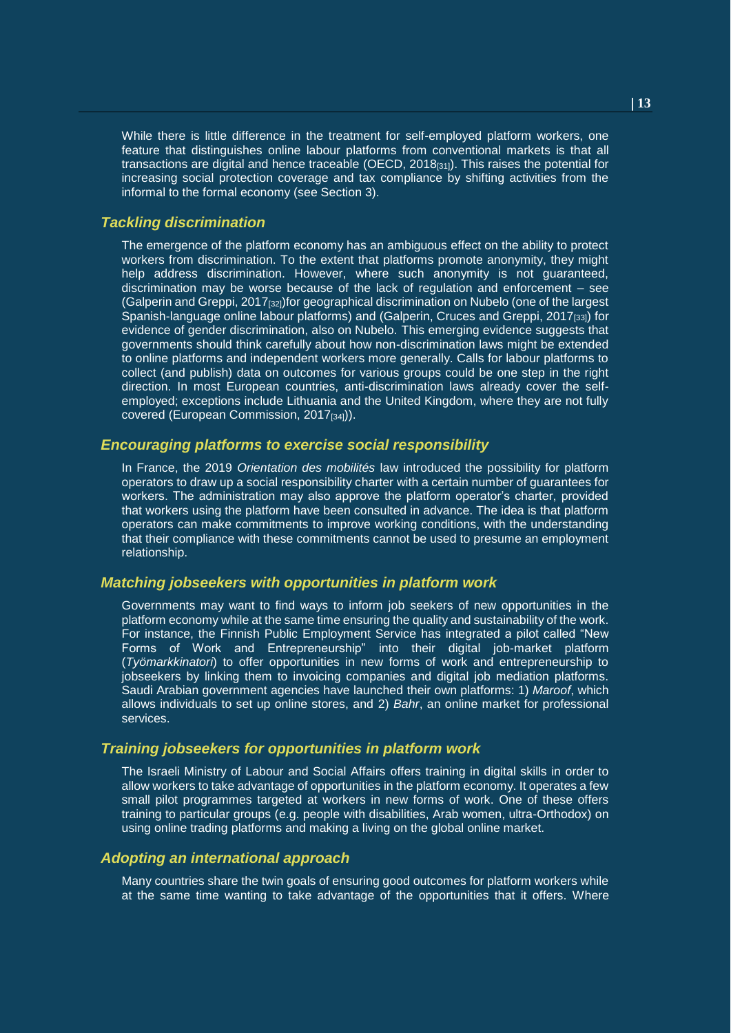While there is little difference in the treatment for self-employed platform workers, one feature that distinguishes online labour platforms from conventional markets is that all transactions are digital and hence traceable (OECD,  $2018_{[31]}$ ). This raises the potential for increasing social protection coverage and tax compliance by shifting activities from the informal to the formal economy (see Section 3).

#### *Tackling discrimination*

The emergence of the platform economy has an ambiguous effect on the ability to protect workers from discrimination. To the extent that platforms promote anonymity, they might help address discrimination. However, where such anonymity is not guaranteed, discrimination may be worse because of the lack of regulation and enforcement – see (Galperin and Greppi, 2017[32])for geographical discrimination on Nubelo (one of the largest Spanish-language online labour platforms) and (Galperin, Cruces and Greppi, 2017<sub>[33]</sub>) for evidence of gender discrimination, also on Nubelo. This emerging evidence suggests that governments should think carefully about how non-discrimination laws might be extended to online platforms and independent workers more generally. Calls for labour platforms to collect (and publish) data on outcomes for various groups could be one step in the right direction. In most European countries, anti-discrimination laws already cover the selfemployed; exceptions include Lithuania and the United Kingdom, where they are not fully covered (European Commission, 2017<sub>[34]</sub>)).

#### *Encouraging platforms to exercise social responsibility*

In France, the 2019 *Orientation des mobilités* law introduced the possibility for platform operators to draw up a social responsibility charter with a certain number of guarantees for workers. The administration may also approve the platform operator's charter, provided that workers using the platform have been consulted in advance. The idea is that platform operators can make commitments to improve working conditions, with the understanding that their compliance with these commitments cannot be used to presume an employment relationship.

#### *Matching jobseekers with opportunities in platform work*

Governments may want to find ways to inform job seekers of new opportunities in the platform economy while at the same time ensuring the quality and sustainability of the work. For instance, the Finnish Public Employment Service has integrated a pilot called "New Forms of Work and Entrepreneurship" into their digital job-market platform (*Työmarkkinatori*) to offer opportunities in new forms of work and entrepreneurship to jobseekers by linking them to invoicing companies and digital job mediation platforms. Saudi Arabian government agencies have launched their own platforms: 1) *Maroof*, which allows individuals to set up online stores, and 2) *Bahr*, an online market for professional services.

#### *Training jobseekers for opportunities in platform work*

The Israeli Ministry of Labour and Social Affairs offers training in digital skills in order to allow workers to take advantage of opportunities in the platform economy. It operates a few small pilot programmes targeted at workers in new forms of work. One of these offers training to particular groups (e.g. people with disabilities, Arab women, ultra-Orthodox) on using online trading platforms and making a living on the global online market.

#### *Adopting an international approach*

Many countries share the twin goals of ensuring good outcomes for platform workers while at the same time wanting to take advantage of the opportunities that it offers. Where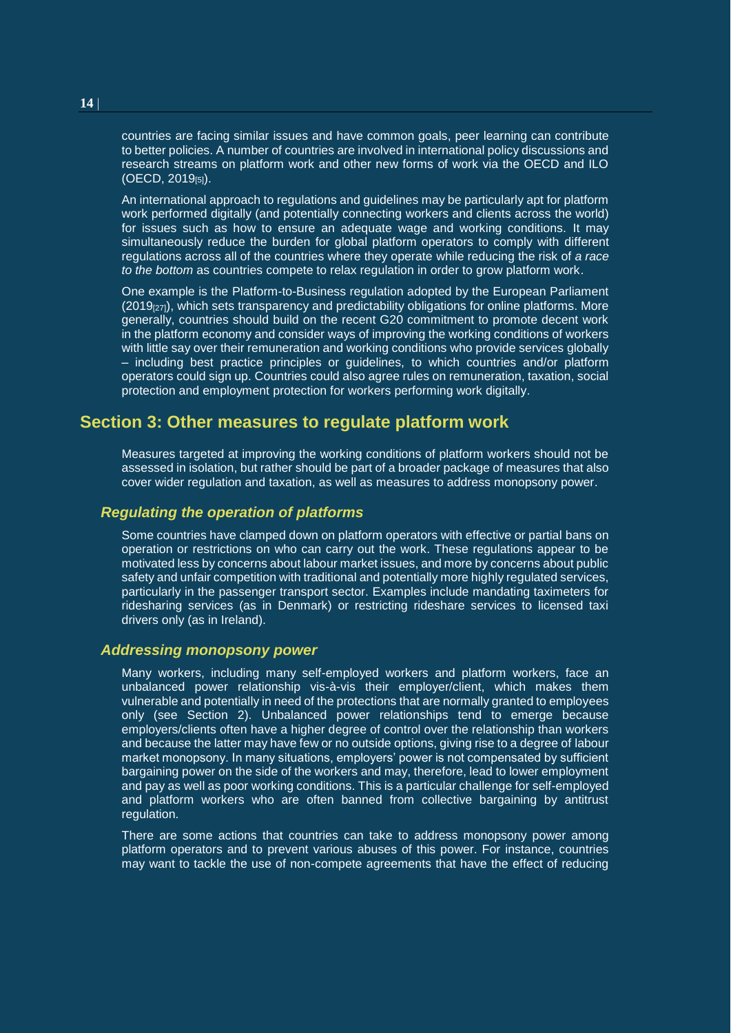countries are facing similar issues and have common goals, peer learning can contribute to better policies. A number of countries are involved in international policy discussions and research streams on platform work and other new forms of work via the OECD and ILO (OECD, 2019[5]).

An international approach to regulations and guidelines may be particularly apt for platform work performed digitally (and potentially connecting workers and clients across the world) for issues such as how to ensure an adequate wage and working conditions. It may simultaneously reduce the burden for global platform operators to comply with different regulations across all of the countries where they operate while reducing the risk of *a race to the bottom* as countries compete to relax regulation in order to grow platform work.

One example is the Platform-to-Business regulation adopted by the European Parliament  $(2019<sub>[27]</sub>)$ , which sets transparency and predictability obligations for online platforms. More generally, countries should build on the recent G20 commitment to promote decent work in the platform economy and consider ways of improving the working conditions of workers with little say over their remuneration and working conditions who provide services globally – including best practice principles or guidelines, to which countries and/or platform operators could sign up. Countries could also agree rules on remuneration, taxation, social protection and employment protection for workers performing work digitally.

## <span id="page-13-0"></span>**Section 3: Other measures to regulate platform work**

Measures targeted at improving the working conditions of platform workers should not be assessed in isolation, but rather should be part of a broader package of measures that also cover wider regulation and taxation, as well as measures to address monopsony power.

#### *Regulating the operation of platforms*

Some countries have clamped down on platform operators with effective or partial bans on operation or restrictions on who can carry out the work. These regulations appear to be motivated less by concerns about labour market issues, and more by concerns about public safety and unfair competition with traditional and potentially more highly regulated services, particularly in the passenger transport sector. Examples include mandating taximeters for ridesharing services (as in Denmark) or restricting rideshare services to licensed taxi drivers only (as in Ireland).

#### *Addressing monopsony power*

Many workers, including many self-employed workers and platform workers, face an unbalanced power relationship vis-à-vis their employer/client, which makes them vulnerable and potentially in need of the protections that are normally granted to employees only (see Section 2). Unbalanced power relationships tend to emerge because employers/clients often have a higher degree of control over the relationship than workers and because the latter may have few or no outside options, giving rise to a degree of labour market monopsony. In many situations, employers' power is not compensated by sufficient bargaining power on the side of the workers and may, therefore, lead to lower employment and pay as well as poor working conditions. This is a particular challenge for self-employed and platform workers who are often banned from collective bargaining by antitrust regulation.

There are some actions that countries can take to address monopsony power among platform operators and to prevent various abuses of this power. For instance, countries may want to tackle the use of non-compete agreements that have the effect of reducing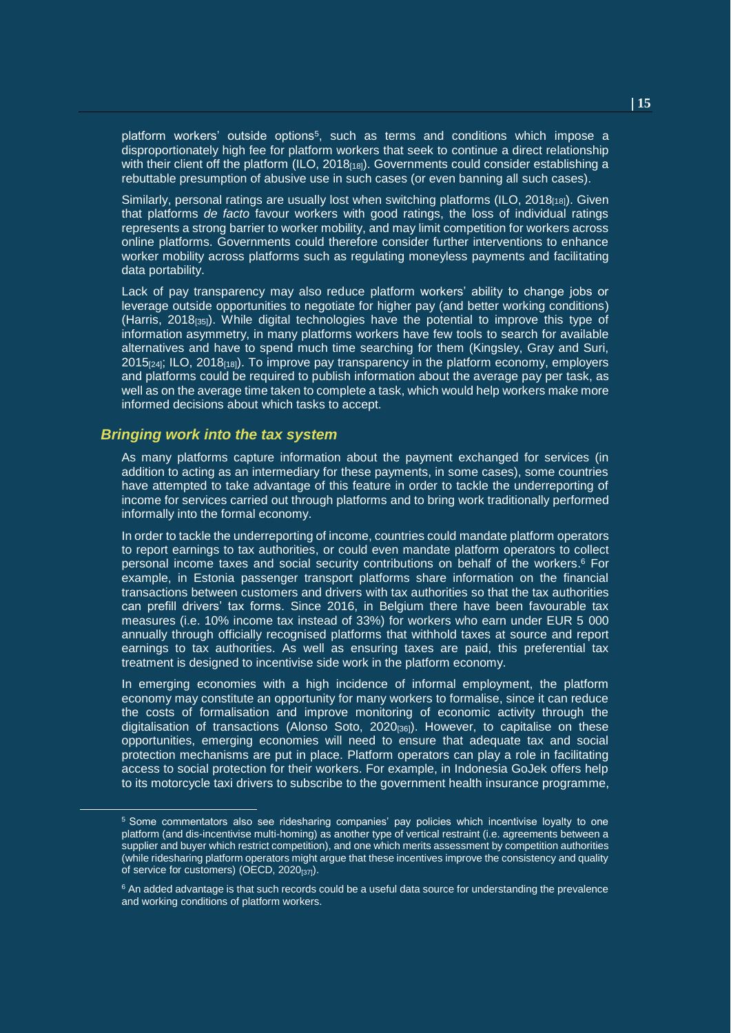platform workers' outside options<sup>5</sup>, such as terms and conditions which impose a disproportionately high fee for platform workers that seek to continue a direct relationship with their client off the platform (ILO,  $2018_{[18]}$ ). Governments could consider establishing a rebuttable presumption of abusive use in such cases (or even banning all such cases).

Similarly, personal ratings are usually lost when switching platforms (ILO,  $2018_{118}$ ). Given that platforms *de facto* favour workers with good ratings, the loss of individual ratings represents a strong barrier to worker mobility, and may limit competition for workers across online platforms. Governments could therefore consider further interventions to enhance worker mobility across platforms such as regulating moneyless payments and facilitating data portability.

Lack of pay transparency may also reduce platform workers' ability to change jobs or leverage outside opportunities to negotiate for higher pay (and better working conditions) (Harris, 2018[35]). While digital technologies have the potential to improve this type of information asymmetry, in many platforms workers have few tools to search for available alternatives and have to spend much time searching for them (Kingsley, Gray and Suri,  $2015$ <sub>[24]</sub>; ILO, 2018<sub>[18]</sub>). To improve pay transparency in the platform economy, employers and platforms could be required to publish information about the average pay per task, as well as on the average time taken to complete a task, which would help workers make more informed decisions about which tasks to accept.

#### *Bringing work into the tax system*

l

As many platforms capture information about the payment exchanged for services (in addition to acting as an intermediary for these payments, in some cases), some countries have attempted to take advantage of this feature in order to tackle the underreporting of income for services carried out through platforms and to bring work traditionally performed informally into the formal economy.

In order to tackle the underreporting of income, countries could mandate platform operators to report earnings to tax authorities, or could even mandate platform operators to collect personal income taxes and social security contributions on behalf of the workers. <sup>6</sup> For example, in Estonia passenger transport platforms share information on the financial transactions between customers and drivers with tax authorities so that the tax authorities can prefill drivers' tax forms. Since 2016, in Belgium there have been favourable tax measures (i.e. 10% income tax instead of 33%) for workers who earn under EUR 5 000 annually through officially recognised platforms that withhold taxes at source and report earnings to tax authorities. As well as ensuring taxes are paid, this preferential tax treatment is designed to incentivise side work in the platform economy.

In emerging economies with a high incidence of informal employment, the platform economy may constitute an opportunity for many workers to formalise, since it can reduce the costs of formalisation and improve monitoring of economic activity through the digitalisation of transactions (Alonso Soto, 2020[36]). However, to capitalise on these opportunities, emerging economies will need to ensure that adequate tax and social protection mechanisms are put in place. Platform operators can play a role in facilitating access to social protection for their workers. For example, in Indonesia GoJek offers help to its motorcycle taxi drivers to subscribe to the government health insurance programme,

<sup>5</sup> Some commentators also see ridesharing companies' pay policies which incentivise loyalty to one platform (and dis-incentivise multi-homing) as another type of vertical restraint (i.e. agreements between a supplier and buyer which restrict competition), and one which merits assessment by competition authorities (while ridesharing platform operators might argue that these incentives improve the consistency and quality of service for customers) (OECD, 2020[37]).

<sup>&</sup>lt;sup>6</sup> An added advantage is that such records could be a useful data source for understanding the prevalence and working conditions of platform workers.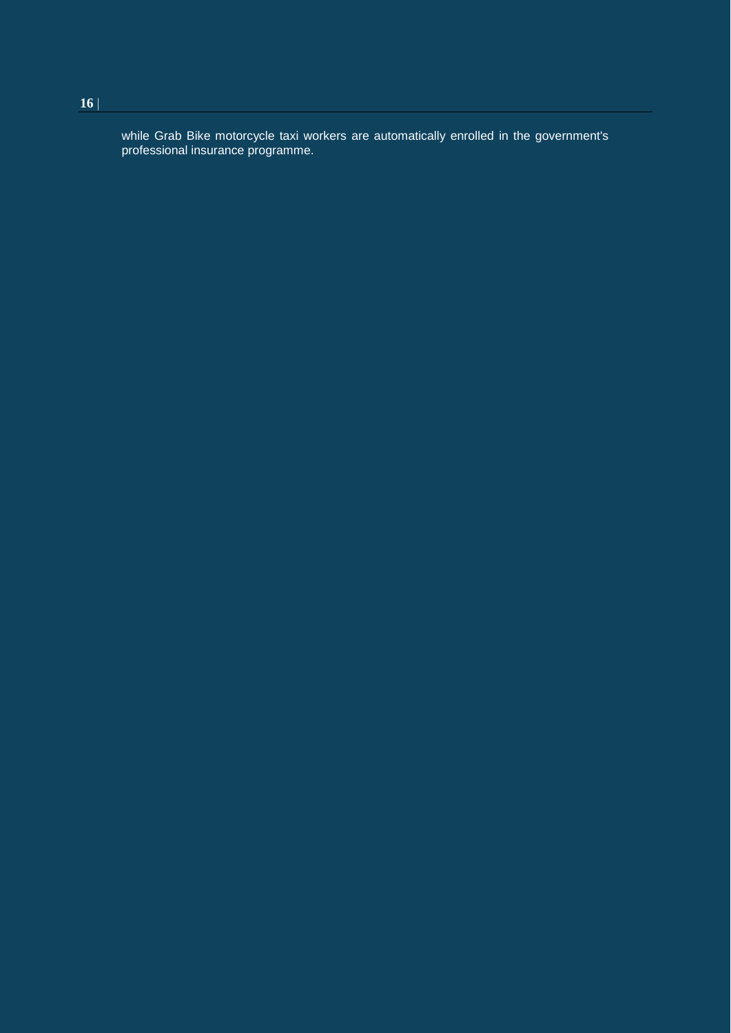while Grab Bike motorcycle taxi workers are automatically enrolled in the government's professional insurance programme.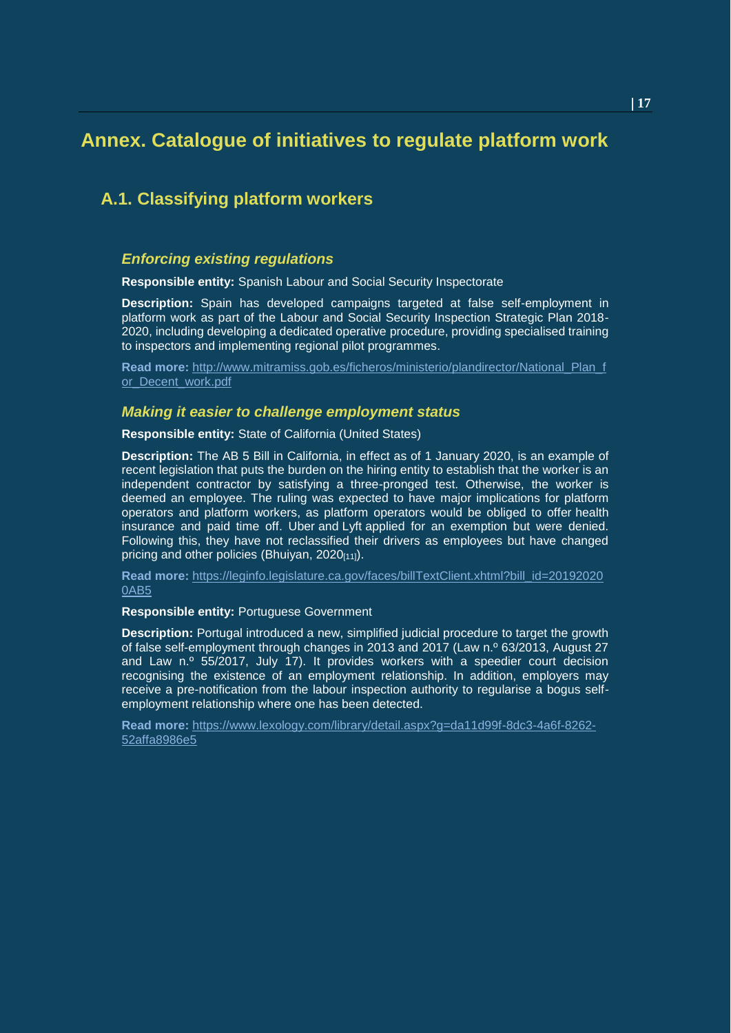## <span id="page-16-0"></span>**Annex. Catalogue of initiatives to regulate platform work**

## **A.1. Classifying platform workers**

#### *Enforcing existing regulations*

**Responsible entity:** Spanish Labour and Social Security Inspectorate

**Description:** Spain has developed campaigns targeted at false self-employment in platform work as part of the Labour and Social Security Inspection Strategic Plan 2018- 2020, including developing a dedicated operative procedure, providing specialised training to inspectors and implementing regional pilot programmes.

**Read more:** [http://www.mitramiss.gob.es/ficheros/ministerio/plandirector/National\\_Plan\\_f](http://www.mitramiss.gob.es/ficheros/ministerio/plandirector/National_Plan_for_Decent_work.pdf) or Decent work.pdf

#### *Making it easier to challenge employment status*

**Responsible entity:** State of California (United States)

**Description:** The AB 5 Bill in California, in effect as of 1 January 2020, is an example of recent legislation that puts the burden on the hiring entity to establish that the worker is an independent contractor by satisfying a three-pronged test. Otherwise, the worker is deemed an employee. The ruling was expected to have major implications for platform operators and platform workers, as platform operators would be obliged to offer health insurance and paid time off. Uber and Lyft applied for an exemption but were denied. Following this, they have not reclassified their drivers as employees but have changed pricing and other policies (Bhuiyan, 2020[11]).

**Read more:** [https://leginfo.legislature.ca.gov/faces/billTextClient.xhtml?bill\\_id=20192020](https://leginfo.legislature.ca.gov/faces/billTextClient.xhtml?bill_id=201920200AB5) [0AB5](https://leginfo.legislature.ca.gov/faces/billTextClient.xhtml?bill_id=201920200AB5)

#### **Responsible entity:** Portuguese Government

**Description:** Portugal introduced a new, simplified judicial procedure to target the growth of false self-employment through changes in 2013 and 2017 (Law n.º 63/2013, August 27 and Law n.º 55/2017, July 17). It provides workers with a speedier court decision recognising the existence of an employment relationship. In addition, employers may receive a pre-notification from the labour inspection authority to regularise a bogus selfemployment relationship where one has been detected.

**Read more:** [https://www.lexology.com/library/detail.aspx?g=da11d99f-8dc3-4a6f-8262-](https://www.lexology.com/library/detail.aspx?g=da11d99f-8dc3-4a6f-8262-52affa8986e5) [52affa8986e5](https://www.lexology.com/library/detail.aspx?g=da11d99f-8dc3-4a6f-8262-52affa8986e5)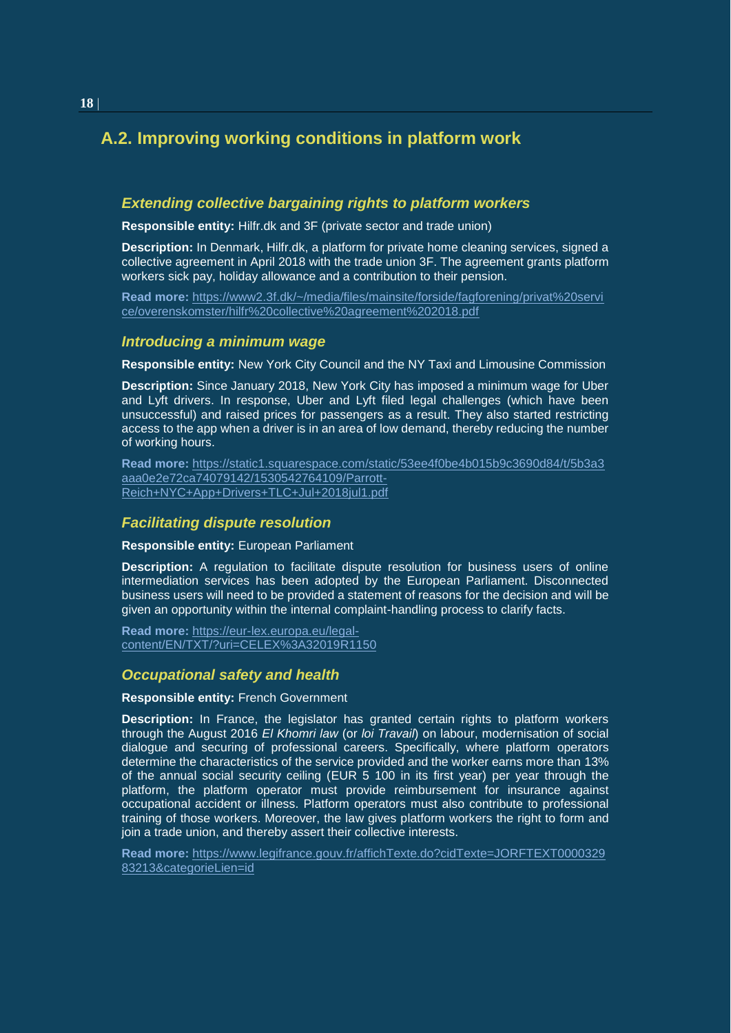## **A.2. Improving working conditions in platform work**

#### *Extending collective bargaining rights to platform workers*

**Responsible entity:** Hilfr.dk and 3F (private sector and trade union)

**Description:** In Denmark, Hilfr.dk, a platform for private home cleaning services, signed a collective agreement in April 2018 with the trade union 3F. The agreement grants platform workers sick pay, holiday allowance and a contribution to their pension.

**Read more:** [https://www2.3f.dk/~/media/files/mainsite/forside/fagforening/privat%20servi](https://www2.3f.dk/~/media/files/mainsite/forside/fagforening/privat%20service/overenskomster/hilfr%20collective%20agreement%202018.pdf) [ce/overenskomster/hilfr%20collective%20agreement%202018.pdf](https://www2.3f.dk/~/media/files/mainsite/forside/fagforening/privat%20service/overenskomster/hilfr%20collective%20agreement%202018.pdf)

#### *Introducing a minimum wage*

**Responsible entity:** New York City Council and the NY Taxi and Limousine Commission

**Description:** Since January 2018, New York City has imposed a minimum wage for Uber and Lyft drivers. In response, Uber and Lyft filed legal challenges (which have been unsuccessful) and raised prices for passengers as a result. They also started restricting access to the app when a driver is in an area of low demand, thereby reducing the number of working hours.

**Read more:** [https://static1.squarespace.com/static/53ee4f0be4b015b9c3690d84/t/5b3a3](https://static1.squarespace.com/static/53ee4f0be4b015b9c3690d84/t/5b3a3aaa0e2e72ca74079142/1530542764109/Parrott-Reich+NYC+App+Drivers+TLC+Jul+2018jul1.pdf) [aaa0e2e72ca74079142/1530542764109/Parrott-](https://static1.squarespace.com/static/53ee4f0be4b015b9c3690d84/t/5b3a3aaa0e2e72ca74079142/1530542764109/Parrott-Reich+NYC+App+Drivers+TLC+Jul+2018jul1.pdf)[Reich+NYC+App+Drivers+TLC+Jul+2018jul1.pdf](https://static1.squarespace.com/static/53ee4f0be4b015b9c3690d84/t/5b3a3aaa0e2e72ca74079142/1530542764109/Parrott-Reich+NYC+App+Drivers+TLC+Jul+2018jul1.pdf)

#### *Facilitating dispute resolution*

**Responsible entity:** European Parliament

**Description:** A regulation to facilitate dispute resolution for business users of online intermediation services has been adopted by the European Parliament. Disconnected business users will need to be provided a statement of reasons for the decision and will be given an opportunity within the internal complaint-handling process to clarify facts.

**Read more:** [https://eur-lex.europa.eu/legal](https://eur-lex.europa.eu/legal-content/EN/TXT/?uri=CELEX%3A32019R1150)[content/EN/TXT/?uri=CELEX%3A32019R1150](https://eur-lex.europa.eu/legal-content/EN/TXT/?uri=CELEX%3A32019R1150)

#### *Occupational safety and health*

#### **Responsible entity:** French Government

**Description:** In France, the legislator has granted certain rights to platform workers through the August 2016 *El Khomri law* (or *loi Travail*) on labour, modernisation of social dialogue and securing of professional careers. Specifically, where platform operators determine the characteristics of the service provided and the worker earns more than 13% of the annual social security ceiling (EUR 5 100 in its first year) per year through the platform, the platform operator must provide reimbursement for insurance against occupational accident or illness. Platform operators must also contribute to professional training of those workers. Moreover, the law gives platform workers the right to form and join a trade union, and thereby assert their collective interests.

**Read more:** [https://www.legifrance.gouv.fr/affichTexte.do?cidTexte=JORFTEXT0000329](https://www.legifrance.gouv.fr/affichTexte.do?cidTexte=JORFTEXT000032983213&categorieLien=id) [83213&categorieLien=id](https://www.legifrance.gouv.fr/affichTexte.do?cidTexte=JORFTEXT000032983213&categorieLien=id)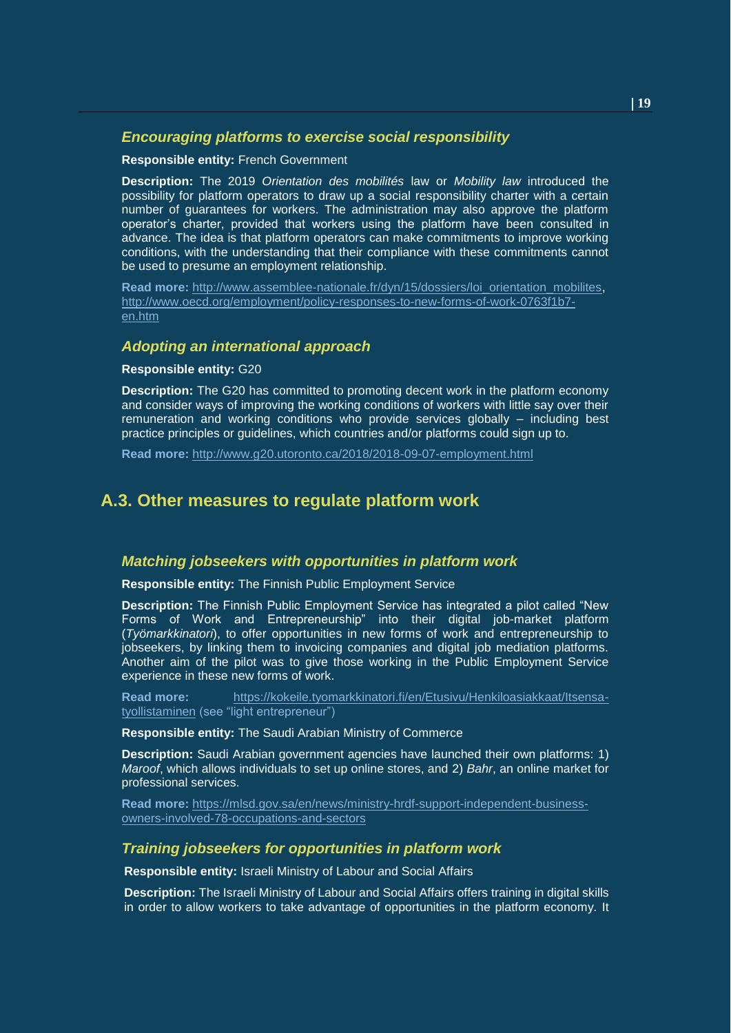#### *Encouraging platforms to exercise social responsibility*

#### **Responsible entity:** French Government

**Description:** The 2019 *Orientation des mobilités* law or *Mobility law* introduced the possibility for platform operators to draw up a social responsibility charter with a certain number of guarantees for workers. The administration may also approve the platform operator's charter, provided that workers using the platform have been consulted in advance. The idea is that platform operators can make commitments to improve working conditions, with the understanding that their compliance with these commitments cannot be used to presume an employment relationship.

**Read more:** [http://www.assemblee-nationale.fr/dyn/15/dossiers/loi\\_orientation\\_mobilites,](http://www.assemblee-nationale.fr/dyn/15/dossiers/loi_orientation_mobilites) [http://www.oecd.org/employment/policy-responses-to-new-forms-of-work-0763f1b7](http://www.oecd.org/employment/policy-responses-to-new-forms-of-work-0763f1b7-en.htm) [en.htm](http://www.oecd.org/employment/policy-responses-to-new-forms-of-work-0763f1b7-en.htm)

#### *Adopting an international approach*

#### **Responsible entity:** G20

**Description:** The G20 has committed to promoting decent work in the platform economy and consider ways of improving the working conditions of workers with little say over their remuneration and working conditions who provide services globally – including best practice principles or guidelines, which countries and/or platforms could sign up to.

**Read more:** <http://www.g20.utoronto.ca/2018/2018-09-07-employment.html>

#### **A.3. Other measures to regulate platform work**

#### *Matching jobseekers with opportunities in platform work*

**Responsible entity:** The Finnish Public Employment Service

**Description:** The Finnish Public Employment Service has integrated a pilot called "New Forms of Work and Entrepreneurship" into their digital job-market platform (*Työmarkkinatori*), to offer opportunities in new forms of work and entrepreneurship to jobseekers, by linking them to invoicing companies and digital job mediation platforms. Another aim of the pilot was to give those working in the Public Employment Service experience in these new forms of work.

**Read more:** [https://kokeile.tyomarkkinatori.fi/en/Etusivu/Henkiloasiakkaat/Itsensa](https://kokeile.tyomarkkinatori.fi/en/Etusivu/Henkiloasiakkaat/Itsensa-tyollistaminen)[tyollistaminen](https://kokeile.tyomarkkinatori.fi/en/Etusivu/Henkiloasiakkaat/Itsensa-tyollistaminen) (see "light entrepreneur")

**Responsible entity:** The Saudi Arabian Ministry of Commerce

**Description:** Saudi Arabian government agencies have launched their own platforms: 1) *Maroof*, which allows individuals to set up online stores, and 2) *Bahr*, an online market for professional services.

**Read more:** [https://mlsd.gov.sa/en/news/ministry-hrdf-support-independent-business](https://mlsd.gov.sa/en/news/ministry-hrdf-support-independent-business-owners-involved-78-occupations-and-sectors)[owners-involved-78-occupations-and-sectors](https://mlsd.gov.sa/en/news/ministry-hrdf-support-independent-business-owners-involved-78-occupations-and-sectors)

#### *Training jobseekers for opportunities in platform work*

**Responsible entity:** Israeli Ministry of Labour and Social Affairs

**Description:** The Israeli Ministry of Labour and Social Affairs offers training in digital skills in order to allow workers to take advantage of opportunities in the platform economy. It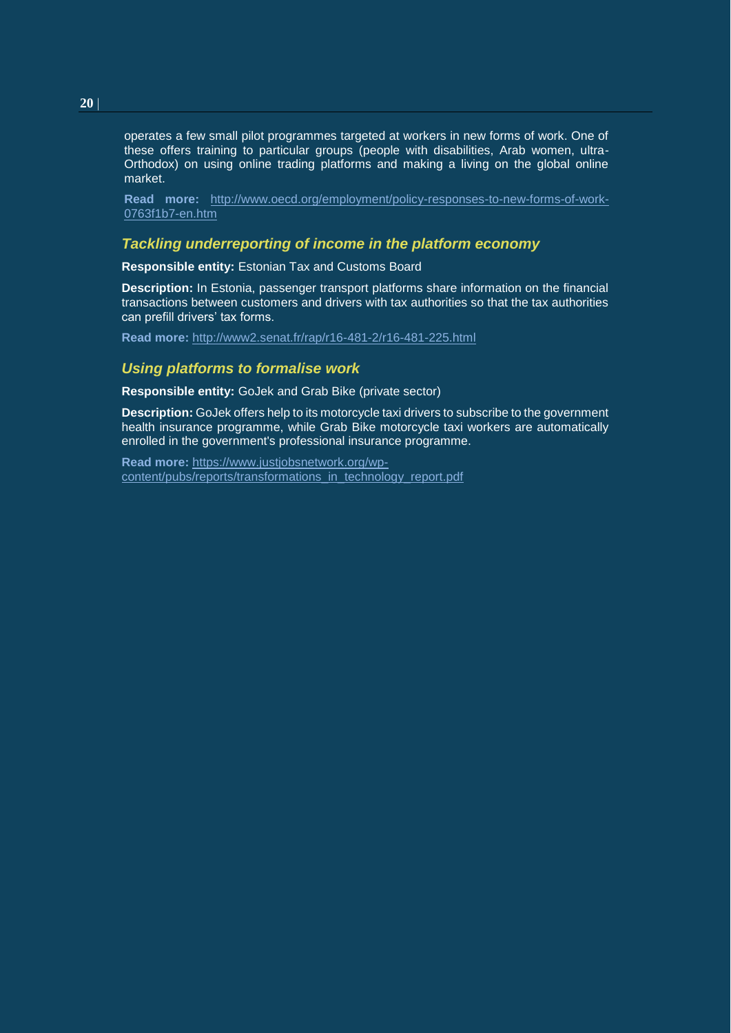operates a few small pilot programmes targeted at workers in new forms of work. One of these offers training to particular groups (people with disabilities, Arab women, ultra-Orthodox) on using online trading platforms and making a living on the global online market.

**Read more:** [http://www.oecd.org/employment/policy-responses-to-new-forms-of-work-](http://www.oecd.org/employment/policy-responses-to-new-forms-of-work-0763f1b7-en.htm)[0763f1b7-en.htm](http://www.oecd.org/employment/policy-responses-to-new-forms-of-work-0763f1b7-en.htm)

#### *Tackling underreporting of income in the platform economy*

**Responsible entity:** Estonian Tax and Customs Board

**Description:** In Estonia, passenger transport platforms share information on the financial transactions between customers and drivers with tax authorities so that the tax authorities can prefill drivers' tax forms.

**Read more:** <http://www2.senat.fr/rap/r16-481-2/r16-481-225.html>

#### *Using platforms to formalise work*

**Responsible entity:** GoJek and Grab Bike (private sector)

**Description:** GoJek offers help to its motorcycle taxi drivers to subscribe to the government health insurance programme, while Grab Bike motorcycle taxi workers are automatically enrolled in the government's professional insurance programme.

**Read more:** [https://www.justjobsnetwork.org/wp](https://www.justjobsnetwork.org/wp-content/pubs/reports/transformations_in_technology_report.pdf)[content/pubs/reports/transformations\\_in\\_technology\\_report.pdf](https://www.justjobsnetwork.org/wp-content/pubs/reports/transformations_in_technology_report.pdf)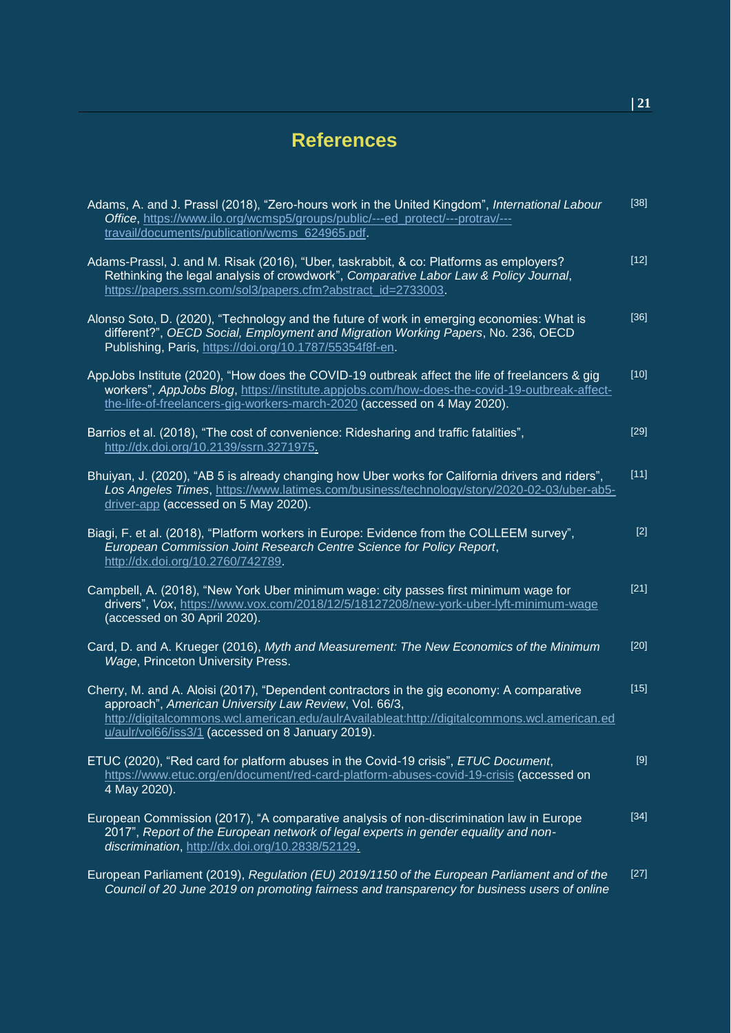## <span id="page-20-0"></span>**References**

| Adams, A. and J. Prassl (2018), "Zero-hours work in the United Kingdom", International Labour<br>Office, https://www.ilo.org/wcmsp5/groups/public/---ed_protect/---protrav/---<br>travail/documents/publication/wcms_624965.pdf.                                                                        | $[38]$            |
|---------------------------------------------------------------------------------------------------------------------------------------------------------------------------------------------------------------------------------------------------------------------------------------------------------|-------------------|
| Adams-Prassl, J. and M. Risak (2016), "Uber, taskrabbit, & co: Platforms as employers?<br>Rethinking the legal analysis of crowdwork", Comparative Labor Law & Policy Journal,<br>https://papers.ssrn.com/sol3/papers.cfm?abstract_id=2733003.                                                          | $[12]$            |
| Alonso Soto, D. (2020), "Technology and the future of work in emerging economies: What is<br>different?", OECD Social, Employment and Migration Working Papers, No. 236, OECD<br>Publishing, Paris, https://doi.org/10.1787/55354f8f-en.                                                                | $[36]$            |
| AppJobs Institute (2020), "How does the COVID-19 outbreak affect the life of freelancers & gig<br>workers", AppJobs Blog, https://institute.appjobs.com/how-does-the-covid-19-outbreak-affect-<br>the-life-of-freelancers-gig-workers-march-2020 (accessed on 4 May 2020).                              | $[10]$            |
| Barrios et al. (2018), "The cost of convenience: Ridesharing and traffic fatalities",<br>http://dx.doi.org/10.2139/ssrn.3271975.                                                                                                                                                                        | $[29]$            |
| Bhuiyan, J. (2020), "AB 5 is already changing how Uber works for California drivers and riders",<br>Los Angeles Times, https://www.latimes.com/business/technology/story/2020-02-03/uber-ab5-<br>driver-app (accessed on 5 May 2020).                                                                   | $\overline{[11]}$ |
| Biagi, F. et al. (2018), "Platform workers in Europe: Evidence from the COLLEEM survey",<br>European Commission Joint Research Centre Science for Policy Report,<br>http://dx.doi.org/10.2760/742789.                                                                                                   | $[2]$             |
| Campbell, A. (2018), "New York Uber minimum wage: city passes first minimum wage for<br>drivers", Vox, https://www.vox.com/2018/12/5/18127208/new-york-uber-lyft-minimum-wage<br>(accessed on 30 April 2020).                                                                                           | $[21]$            |
| Card, D. and A. Krueger (2016), Myth and Measurement: The New Economics of the Minimum<br>Wage, Princeton University Press.                                                                                                                                                                             | $[20]$            |
| Cherry, M. and A. Aloisi (2017), "Dependent contractors in the gig economy: A comparative<br>approach", American University Law Review, Vol. 66/3,<br>http://digitalcommons.wcl.american.edu/aulrAvailableat:http://digitalcommons.wcl.american.ed<br>u/aulr/vol66/iss3/1 (accessed on 8 January 2019). | $[15]$            |
| ETUC (2020), "Red card for platform abuses in the Covid-19 crisis", ETUC Document,<br>https://www.etuc.org/en/document/red-card-platform-abuses-covid-19-crisis (accessed on<br>4 May 2020).                                                                                                            | $[9]$             |
| European Commission (2017), "A comparative analysis of non-discrimination law in Europe<br>2017", Report of the European network of legal experts in gender equality and non-<br>discrimination, http://dx.doi.org/10.2838/52129.                                                                       | $[34]$            |
| European Parliament (2019), Regulation (EU) 2019/1150 of the European Parliament and of the<br>Council of 20 June 2019 on promoting fairness and transparency for business users of online                                                                                                              | $[27]$            |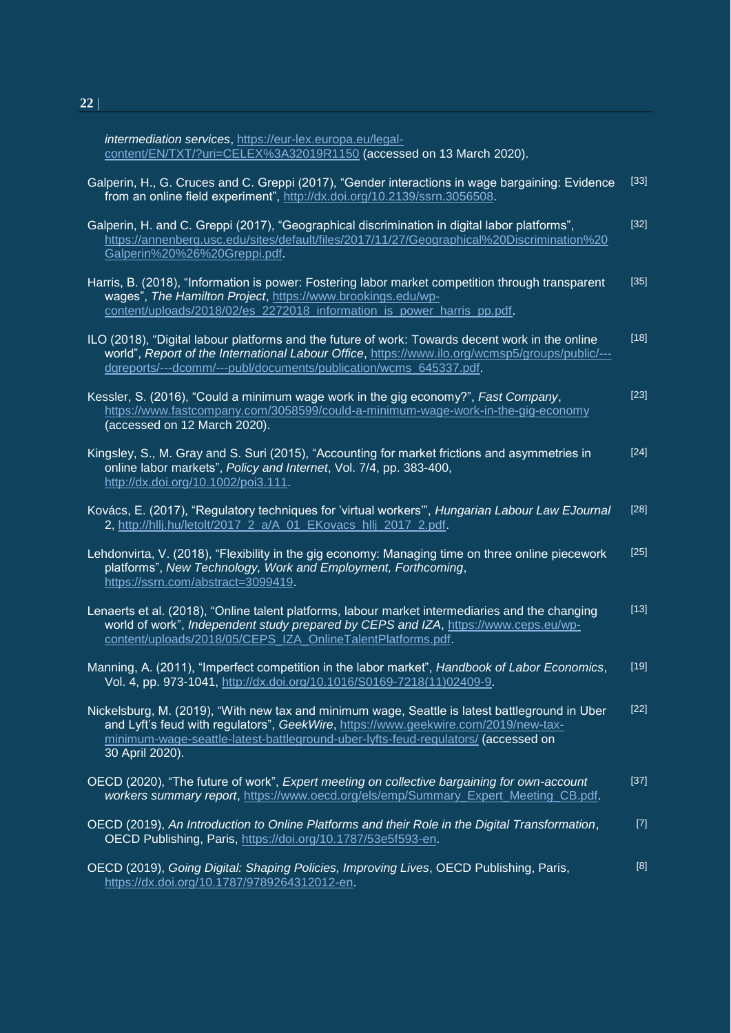*intermediation services*, https://eur-lex.europa.eu/legalcontent/EN/TXT/?uri=CELEX%3A32019R1150 (accessed on 13 March 2020).

| Galperin, H., G. Cruces and C. Greppi (2017), "Gender interactions in wage bargaining: Evidence<br>from an online field experiment", http://dx.doi.org/10.2139/ssrn.3056508.                                                                                                                 | $[33]$ |
|----------------------------------------------------------------------------------------------------------------------------------------------------------------------------------------------------------------------------------------------------------------------------------------------|--------|
| Galperin, H. and C. Greppi (2017), "Geographical discrimination in digital labor platforms",<br>https://annenberg.usc.edu/sites/default/files/2017/11/27/Geographical%20Discrimination%20<br>Galperin%20%26%20Greppi.pdf.                                                                    | $[32]$ |
| Harris, B. (2018), "Information is power: Fostering labor market competition through transparent<br>wages", The Hamilton Project, https://www.brookings.edu/wp-<br>content/uploads/2018/02/es_2272018_information_is_power_harris_pp.pdf.                                                    | $[35]$ |
| ILO (2018), "Digital labour platforms and the future of work: Towards decent work in the online<br>world", Report of the International Labour Office, https://www.ilo.org/wcmsp5/groups/public/---<br>dgreports/---dcomm/---publ/documents/publication/wcms_645337.pdf.                      | $[18]$ |
| Kessler, S. (2016), "Could a minimum wage work in the gig economy?", Fast Company,<br>https://www.fastcompany.com/3058599/could-a-minimum-wage-work-in-the-gig-economy<br>(accessed on 12 March 2020).                                                                                       | $[23]$ |
| Kingsley, S., M. Gray and S. Suri (2015), "Accounting for market frictions and asymmetries in<br>online labor markets", Policy and Internet, Vol. 7/4, pp. 383-400,<br>http://dx.doi.org/10.1002/poi3.111.                                                                                   | $[24]$ |
| Kovács, E. (2017), "Regulatory techniques for 'virtual workers", Hungarian Labour Law EJournal<br>2, http://hllj.hu/letolt/2017_2_a/A_01_EKovacs_hllj_2017_2.pdf.                                                                                                                            | $[28]$ |
| Lehdonvirta, V. (2018), "Flexibility in the gig economy: Managing time on three online piecework<br>platforms", New Technology, Work and Employment, Forthcoming,<br>https://ssrn.com/abstract=3099419.                                                                                      | $[25]$ |
| Lenaerts et al. (2018), "Online talent platforms, labour market intermediaries and the changing<br>world of work", Independent study prepared by CEPS and IZA, https://www.ceps.eu/wp-<br>content/uploads/2018/05/CEPS_IZA_OnlineTalentPlatforms.pdf.                                        | [13]   |
| Manning, A. (2011), "Imperfect competition in the labor market", Handbook of Labor Economics,<br>Vol. 4, pp. 973-1041, http://dx.doi.org/10.1016/S0169-7218(11)02409-9.                                                                                                                      | $[19]$ |
| Nickelsburg, M. (2019), "With new tax and minimum wage, Seattle is latest battleground in Uber<br>and Lyft's feud with requlators", GeekWire, https://www.geekwire.com/2019/new-tax-<br>minimum-wage-seattle-latest-battleground-uber-lyfts-feud-regulators/ (accessed on<br>30 April 2020). | $[22]$ |
| OECD (2020), "The future of work", Expert meeting on collective bargaining for own-account<br>workers summary report, https://www.oecd.org/els/emp/Summary Expert Meeting CB.pdf.                                                                                                            | $[37]$ |
| OECD (2019), An Introduction to Online Platforms and their Role in the Digital Transformation,<br>OECD Publishing, Paris, https://doi.org/10.1787/53e5f593-en.                                                                                                                               | $[7]$  |
| OECD (2019), Going Digital: Shaping Policies, Improving Lives, OECD Publishing, Paris,<br>https://dx.doi.org/10.1787/9789264312012-en.                                                                                                                                                       | [8]    |